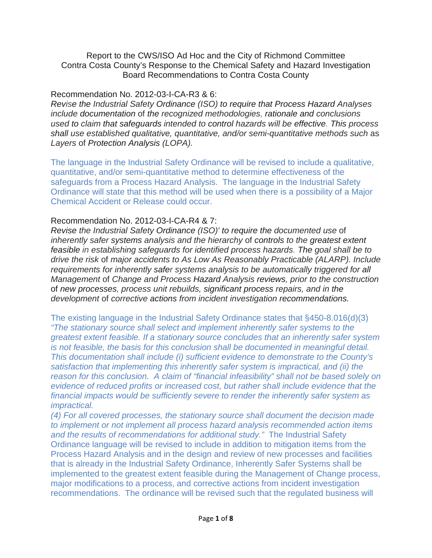Report to the CWS/ISO Ad Hoc and the City of Richmond Committee Contra Costa County's Response to the Chemical Safety and Hazard Investigation Board Recommendations to Contra Costa County

# Recommendation No. 2012-03-I-CA-R3 & 6:

*Revise the Industrial Safety Ordinance (ISO) to require that Process Hazard Analyses include documentation* of *the recognized methodologies, rationale and conclusions used to claim that safeguards intended to control hazards will be effective. This process shall use established qualitative, quantitative, and/or semi-quantitative methods such* as *Layers* of *Protection Analysis (LOPA).*

The language in the Industrial Safety Ordinance will be revised to include a qualitative, quantitative, and/or semi-quantitative method to determine effectiveness of the safeguards from a Process Hazard Analysis. The language in the Industrial Safety Ordinance will state that this method will be used when there is a possibility of a Major Chemical Accident or Release could occur.

# Recommendation No. 2012-03-I-CA-R4 & 7:

*Revise the Industrial Safety Ordinance (ISO)' to require the documented use* of *inherently safer systems analysis and the hierarchy* of *controls to the greatest extent feasible in establishing safeguards for identified process hazards. The goal shall be to drive the risk* of *major accidents to As Low As Reasonably Practicable (ALARP). Include requirements for inherently safer systems analysis to be automatically triggered for all Management* of *Change and Process Hazard Analysis reviews, prior to the construction*  of *new processes, process unit rebuilds, significant process repairs, and in the development* of *corrective actions from incident investigation recommendations.*

The existing language in the Industrial Safety Ordinance states that §450-8.016(d)(3) *"The stationary source shall select and implement inherently safer systems to the greatest extent feasible. If a stationary source concludes that an inherently safer system is not feasible, the basis for this conclusion shall be documented in meaningful detail. This documentation shall include (i) sufficient evidence to demonstrate to the County's satisfaction that implementing this inherently safer system is impractical, and (ii) the reason for this conclusion. A claim of "financial infeasibility" shall not be based solely on evidence of reduced profits or increased cost, but rather shall include evidence that the financial impacts would be sufficiently severe to render the inherently safer system as impractical.*

*(4) For all covered processes, the stationary source shall document the decision made to implement or not implement all process hazard analysis recommended action items and the results of recommendations for additional study."* The Industrial Safety Ordinance language will be revised to include in addition to mitigation items from the Process Hazard Analysis and in the design and review of new processes and facilities that is already in the Industrial Safety Ordinance, Inherently Safer Systems shall be implemented to the greatest extent feasible during the Management of Change process, major modifications to a process, and corrective actions from incident investigation recommendations. The ordinance will be revised such that the regulated business will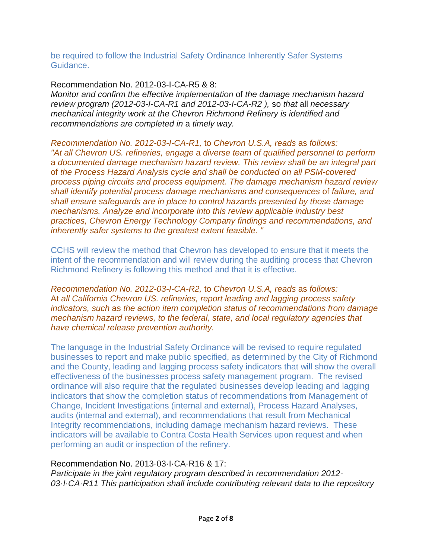be required to follow the Industrial Safety Ordinance Inherently Safer Systems Guidance.

Recommendation No. 2012-03-I-CA-R5 & 8:

*Monitor and confirm the effective implementation* of *the damage mechanism hazard review program (2012-03-I-CA-R1 and 2012-03-I-CA-R2 ),* so *that* all *necessary mechanical integrity work at the Chevron Richmond Refinery is identified and recommendations are completed in* a *timely way.*

*Recommendation No. 2012-03-I-CA-R1,* to *Chevron U.S.A, reads* as *follows: "At all Chevron US. refineries, engage* a *diverse team of qualified personnel to perform* a *documented damage mechanism hazard review. This review shall be an integral part*  of *the Process Hazard Analysis cycle and shall be conducted on all PSM-covered process piping circuits and process equipment. The damage mechanism hazard review shall identify potential process damage mechanisms and consequences* of *failure, and shall ensure safeguards are in place to control hazards presented by those damage mechanisms. Analyze and incorporate into this review applicable industry best practices, Chevron Energy Technology Company findings and recommendations, and inherently safer systems to the greatest extent feasible. "*

CCHS will review the method that Chevron has developed to ensure that it meets the intent of the recommendation and will review during the auditing process that Chevron Richmond Refinery is following this method and that it is effective.

*Recommendation No. 2012-03-I-CA-R2,* to *Chevron U.S.A, reads* as *follows:* At *all California Chevron US. refineries, report leading and lagging process safety indicators, such* as *the action item completion status of recommendations from damage mechanism hazard reviews, to the federal, state, and local regulatory agencies that have chemical release prevention authority.*

The language in the Industrial Safety Ordinance will be revised to require regulated businesses to report and make public specified, as determined by the City of Richmond and the County, leading and lagging process safety indicators that will show the overall effectiveness of the businesses process safety management program. The revised ordinance will also require that the regulated businesses develop leading and lagging indicators that show the completion status of recommendations from Management of Change, Incident Investigations (internal and external), Process Hazard Analyses, audits (internal and external), and recommendations that result from Mechanical Integrity recommendations, including damage mechanism hazard reviews. These indicators will be available to Contra Costa Health Services upon request and when performing an audit or inspection of the refinery.

# Recommendation No. 2013·03·I·CA·R16 & 17:

*Participate in the joint regulatory program described in recommendation 2012- 03·I·CA·R11 This participation shall include contributing relevant data to the repository*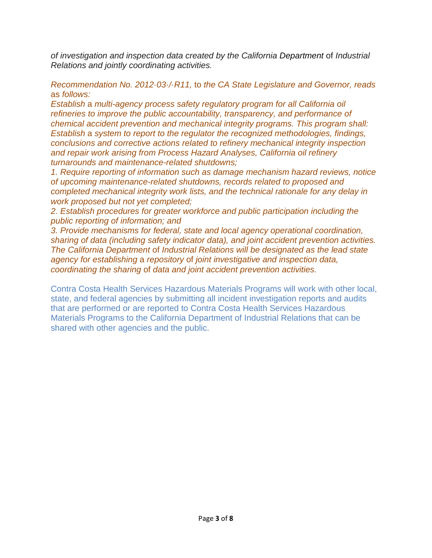*of investigation and inspection data created by the California Department* of *Industrial Relations and jointly coordinating activities.*

*Recommendation No. 2012·03·/·R11,* to *the CA State Legislature and Governor, reads*  as *follows:*

*Establish* a *multi-agency process safety regulatory program for all California oil refineries to improve the public accountability, transparency, and performance of chemical accident prevention and mechanical integrity programs. This program shall: Establish* a *system to report to the regulator the recognized methodologies, findings, conclusions and corrective actions related to refinery mechanical integrity inspection and repair work arising from Process Hazard Analyses, California oil refinery turnarounds and maintenance-related shutdowns;*

*1. Require reporting of information such as damage mechanism hazard reviews, notice of upcoming maintenance-related shutdowns, records related to proposed and completed mechanical integrity work lists, and the technical rationale for any delay in work proposed but not yet completed;*

*2. Establish procedures for greater workforce and public participation including the public reporting of information; and*

*3. Provide mechanisms for federal, state and local agency operational coordination, sharing of data (including safety indicator data), and joint accident prevention activities. The California Department* of *Industrial Relations will be designated as the lead state agency for establishing* a *repository* of *joint investigative and inspection data, coordinating the sharing* of *data and joint accident prevention activities.*

Contra Costa Health Services Hazardous Materials Programs will work with other local, state, and federal agencies by submitting all incident investigation reports and audits that are performed or are reported to Contra Costa Health Services Hazardous Materials Programs to the California Department of Industrial Relations that can be shared with other agencies and the public.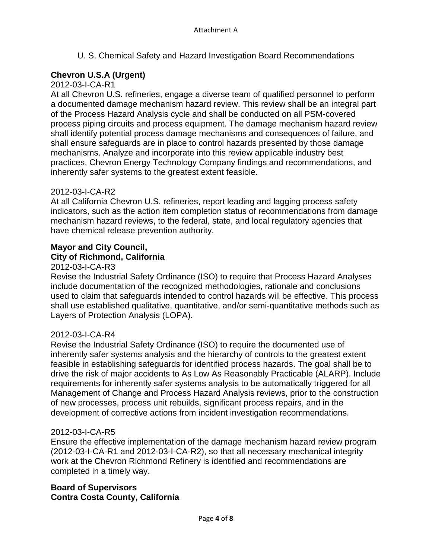U. S. Chemical Safety and Hazard Investigation Board Recommendations

# **Chevron U.S.A (Urgent)**

# 2012-03-I-CA-R1

At all Chevron U.S. refineries, engage a diverse team of qualified personnel to perform a documented damage mechanism hazard review. This review shall be an integral part of the Process Hazard Analysis cycle and shall be conducted on all PSM-covered process piping circuits and process equipment. The damage mechanism hazard review shall identify potential process damage mechanisms and consequences of failure, and shall ensure safeguards are in place to control hazards presented by those damage mechanisms. Analyze and incorporate into this review applicable industry best practices, Chevron Energy Technology Company findings and recommendations, and inherently safer systems to the greatest extent feasible.

# 2012-03-I-CA-R2

At all California Chevron U.S. refineries, report leading and lagging process safety indicators, such as the action item completion status of recommendations from damage mechanism hazard reviews, to the federal, state, and local regulatory agencies that have chemical release prevention authority.

# **Mayor and City Council, City of Richmond, California**

# 2012-03-I-CA-R3

Revise the Industrial Safety Ordinance (ISO) to require that Process Hazard Analyses include documentation of the recognized methodologies, rationale and conclusions used to claim that safeguards intended to control hazards will be effective. This process shall use established qualitative, quantitative, and/or semi-quantitative methods such as Layers of Protection Analysis (LOPA).

# 2012-03-I-CA-R4

Revise the Industrial Safety Ordinance (ISO) to require the documented use of inherently safer systems analysis and the hierarchy of controls to the greatest extent feasible in establishing safeguards for identified process hazards. The goal shall be to drive the risk of major accidents to As Low As Reasonably Practicable (ALARP). Include requirements for inherently safer systems analysis to be automatically triggered for all Management of Change and Process Hazard Analysis reviews, prior to the construction of new processes, process unit rebuilds, significant process repairs, and in the development of corrective actions from incident investigation recommendations.

# 2012-03-I-CA-R5

Ensure the effective implementation of the damage mechanism hazard review program (2012-03-I-CA-R1 and 2012-03-I-CA-R2), so that all necessary mechanical integrity work at the Chevron Richmond Refinery is identified and recommendations are completed in a timely way.

# **Board of Supervisors Contra Costa County, California**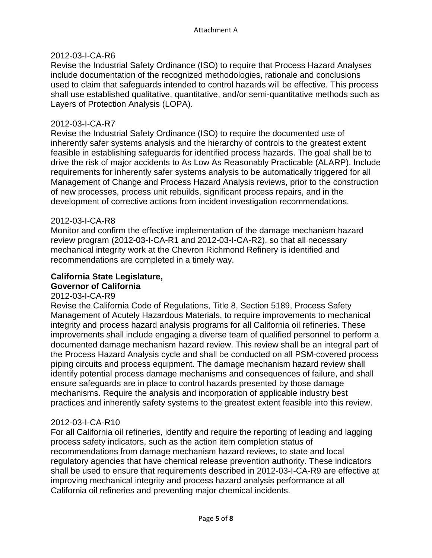### 2012-03-I-CA-R6

Revise the Industrial Safety Ordinance (ISO) to require that Process Hazard Analyses include documentation of the recognized methodologies, rationale and conclusions used to claim that safeguards intended to control hazards will be effective. This process shall use established qualitative, quantitative, and/or semi-quantitative methods such as Layers of Protection Analysis (LOPA).

#### 2012-03-I-CA-R7

Revise the Industrial Safety Ordinance (ISO) to require the documented use of inherently safer systems analysis and the hierarchy of controls to the greatest extent feasible in establishing safeguards for identified process hazards. The goal shall be to drive the risk of major accidents to As Low As Reasonably Practicable (ALARP). Include requirements for inherently safer systems analysis to be automatically triggered for all Management of Change and Process Hazard Analysis reviews, prior to the construction of new processes, process unit rebuilds, significant process repairs, and in the development of corrective actions from incident investigation recommendations.

#### 2012-03-I-CA-R8

Monitor and confirm the effective implementation of the damage mechanism hazard review program (2012-03-I-CA-R1 and 2012-03-I-CA-R2), so that all necessary mechanical integrity work at the Chevron Richmond Refinery is identified and recommendations are completed in a timely way.

#### **California State Legislature, Governor of California**

#### 2012-03-I-CA-R9

Revise the California Code of Regulations, Title 8, Section 5189, Process Safety Management of Acutely Hazardous Materials, to require improvements to mechanical integrity and process hazard analysis programs for all California oil refineries. These improvements shall include engaging a diverse team of qualified personnel to perform a documented damage mechanism hazard review. This review shall be an integral part of the Process Hazard Analysis cycle and shall be conducted on all PSM-covered process piping circuits and process equipment. The damage mechanism hazard review shall identify potential process damage mechanisms and consequences of failure, and shall ensure safeguards are in place to control hazards presented by those damage mechanisms. Require the analysis and incorporation of applicable industry best practices and inherently safety systems to the greatest extent feasible into this review.

#### 2012-03-I-CA-R10

For all California oil refineries, identify and require the reporting of leading and lagging process safety indicators, such as the action item completion status of recommendations from damage mechanism hazard reviews, to state and local regulatory agencies that have chemical release prevention authority. These indicators shall be used to ensure that requirements described in 2012-03-I-CA-R9 are effective at improving mechanical integrity and process hazard analysis performance at all California oil refineries and preventing major chemical incidents.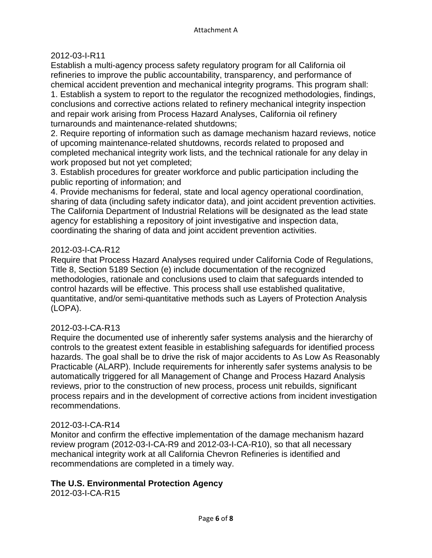# 2012-03-I-R11

Establish a multi-agency process safety regulatory program for all California oil refineries to improve the public accountability, transparency, and performance of chemical accident prevention and mechanical integrity programs. This program shall: 1. Establish a system to report to the regulator the recognized methodologies, findings, conclusions and corrective actions related to refinery mechanical integrity inspection and repair work arising from Process Hazard Analyses, California oil refinery turnarounds and maintenance-related shutdowns;

2. Require reporting of information such as damage mechanism hazard reviews, notice of upcoming maintenance-related shutdowns, records related to proposed and completed mechanical integrity work lists, and the technical rationale for any delay in work proposed but not yet completed;

3. Establish procedures for greater workforce and public participation including the public reporting of information; and

4. Provide mechanisms for federal, state and local agency operational coordination, sharing of data (including safety indicator data), and joint accident prevention activities. The California Department of Industrial Relations will be designated as the lead state agency for establishing a repository of joint investigative and inspection data, coordinating the sharing of data and joint accident prevention activities.

# 2012-03-I-CA-R12

Require that Process Hazard Analyses required under California Code of Regulations, Title 8, Section 5189 Section (e) include documentation of the recognized methodologies, rationale and conclusions used to claim that safeguards intended to control hazards will be effective. This process shall use established qualitative, quantitative, and/or semi-quantitative methods such as Layers of Protection Analysis (LOPA).

# 2012-03-I-CA-R13

Require the documented use of inherently safer systems analysis and the hierarchy of controls to the greatest extent feasible in establishing safeguards for identified process hazards. The goal shall be to drive the risk of major accidents to As Low As Reasonably Practicable (ALARP). Include requirements for inherently safer systems analysis to be automatically triggered for all Management of Change and Process Hazard Analysis reviews, prior to the construction of new process, process unit rebuilds, significant process repairs and in the development of corrective actions from incident investigation recommendations.

# 2012-03-I-CA-R14

Monitor and confirm the effective implementation of the damage mechanism hazard review program (2012-03-I-CA-R9 and 2012-03-I-CA-R10), so that all necessary mechanical integrity work at all California Chevron Refineries is identified and recommendations are completed in a timely way.

# **The U.S. Environmental Protection Agency**

2012-03-I-CA-R15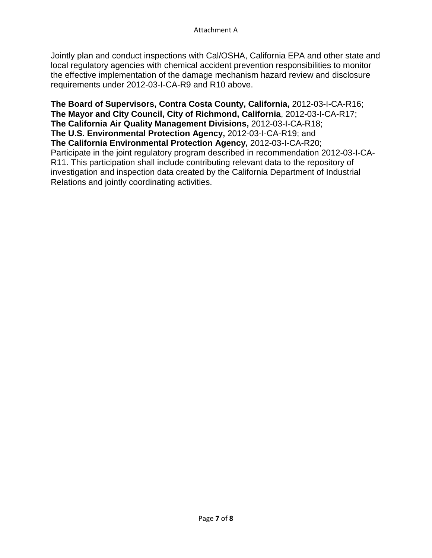Jointly plan and conduct inspections with Cal/OSHA, California EPA and other state and local regulatory agencies with chemical accident prevention responsibilities to monitor the effective implementation of the damage mechanism hazard review and disclosure requirements under 2012-03-I-CA-R9 and R10 above.

**The Board of Supervisors, Contra Costa County, California,** 2012-03-I-CA-R16; **The Mayor and City Council, City of Richmond, California**, 2012-03-I-CA-R17; **The California Air Quality Management Divisions,** 2012-03-I-CA-R18; **The U.S. Environmental Protection Agency,** 2012-03-I-CA-R19; and **The California Environmental Protection Agency,** 2012-03-I-CA-R20; Participate in the joint regulatory program described in recommendation 2012-03-I-CA-R11. This participation shall include contributing relevant data to the repository of investigation and inspection data created by the California Department of Industrial Relations and jointly coordinating activities.